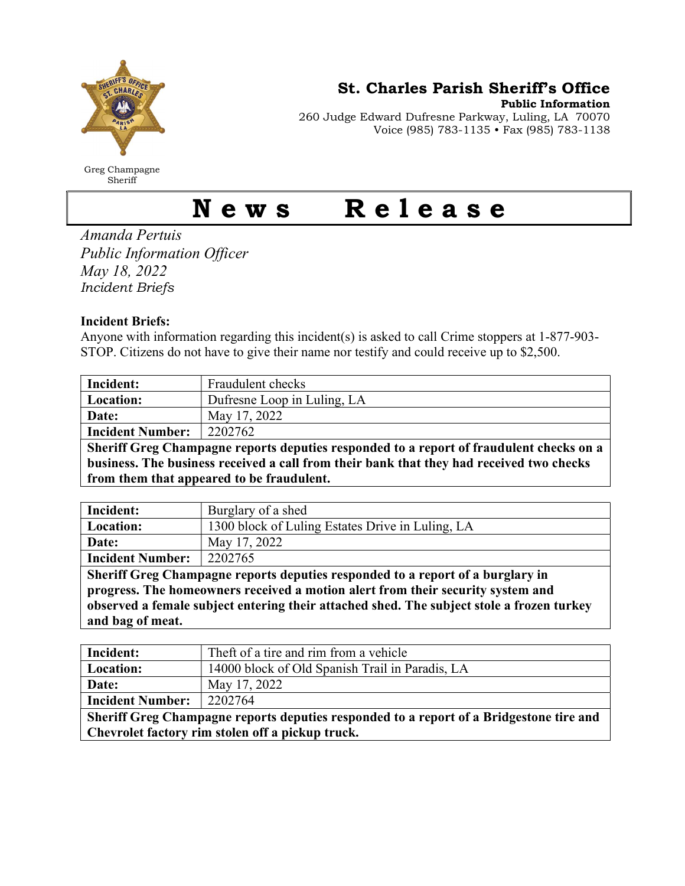

Greg Champagne Sheriff

St. Charles Parish Sheriff's Office

Public Information

260 Judge Edward Dufresne Parkway, Luling, LA 70070 Voice (985) 783-1135 • Fax (985) 783-1138

## News Release

Amanda Pertuis Public Information Officer May 18, 2022 Incident Briefs

## Incident Briefs:

Anyone with information regarding this incident(s) is asked to call Crime stoppers at 1-877-903- STOP. Citizens do not have to give their name nor testify and could receive up to \$2,500.

| Incident:                                                                                | Fraudulent checks           |  |
|------------------------------------------------------------------------------------------|-----------------------------|--|
| <b>Location:</b>                                                                         | Dufresne Loop in Luling, LA |  |
| Date:                                                                                    | May 17, 2022                |  |
| <b>Incident Number:</b>                                                                  | 2202762                     |  |
| Sheriff Greg Champagne reports deputies responded to a report of fraudulent checks on a  |                             |  |
| business. The business received a call from their bank that they had received two checks |                             |  |

| from them that appeared to be fraudulent. |  |
|-------------------------------------------|--|
|                                           |  |

| Incident:                                                                          | Burglary of a shed                               |  |
|------------------------------------------------------------------------------------|--------------------------------------------------|--|
| Location:                                                                          | 1300 block of Luling Estates Drive in Luling, LA |  |
| Date:                                                                              | May 17, 2022                                     |  |
| <b>Incident Number:</b>                                                            | 2202765                                          |  |
| Sheriff Greg Champagne reports deputies responded to a report of a burglary in     |                                                  |  |
| nuoguese. The homeoviness received a motion about from their sequentry existem and |                                                  |  |

progress. The homeowners received a motion alert from their security system and observed a female subject entering their attached shed. The subject stole a frozen turkey and bag of meat.

| Incident:                                                                               | Theft of a tire and rim from a vehicle          |  |
|-----------------------------------------------------------------------------------------|-------------------------------------------------|--|
| Location:                                                                               | 14000 block of Old Spanish Trail in Paradis, LA |  |
| Date:                                                                                   | May 17, 2022                                    |  |
| <b>Incident Number:</b>                                                                 | 2202764                                         |  |
| Sheriff Greg Champagne reports deputies responded to a report of a Bridgestone tire and |                                                 |  |
| Chevrolet factory rim stolen off a pickup truck.                                        |                                                 |  |